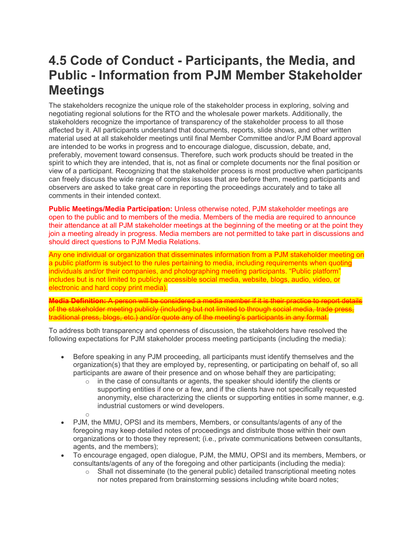## **4.5 Code of Conduct - Participants, the Media, and Public - Information from PJM Member Stakeholder Meetings**

The stakeholders recognize the unique role of the stakeholder process in exploring, solving and negotiating regional solutions for the RTO and the wholesale power markets. Additionally, the stakeholders recognize the importance of transparency of the stakeholder process to all those affected by it. All participants understand that documents, reports, slide shows, and other written material used at all stakeholder meetings until final Member Committee and/or PJM Board approval are intended to be works in progress and to encourage dialogue, discussion, debate, and, preferably, movement toward consensus. Therefore, such work products should be treated in the spirit to which they are intended, that is, not as final or complete documents nor the final position or view of a participant. Recognizing that the stakeholder process is most productive when participants can freely discuss the wide range of complex issues that are before them, meeting participants and observers are asked to take great care in reporting the proceedings accurately and to take all comments in their intended context.

**Public Meetings/Media Participation:** Unless otherwise noted, PJM stakeholder meetings are open to the public and to members of the media. Members of the media are required to announce their attendance at all PJM stakeholder meetings at the beginning of the meeting or at the point they join a meeting already in progress. Media members are not permitted to take part in discussions and should direct questions to PJM Media Relations.

Any one individual or organization that disseminates information from a PJM stakeholder meeting on a public platform is subject to the rules pertaining to media, including requirements when quoting individuals and/or their companies, and photographing meeting participants. "Public platform" includes but is not limited to publicly accessible social media, website, blogs, audio, video, or electronic and hard copy print media).

**Media Definition:** A person will be considered a media member if it is their practice to report details of the stakeholder meeting publicly (including but not limited to through social media, trade press, traditional press, blogs, etc.) and/or quote any of the meeting's participants in any format.

To address both transparency and openness of discussion, the stakeholders have resolved the following expectations for PJM stakeholder process meeting participants (including the media):

- Before speaking in any PJM proceeding, all participants must identify themselves and the organization(s) that they are employed by, representing, or participating on behalf of, so all participants are aware of their presence and on whose behalf they are participating;
	- $\circ$  in the case of consultants or agents, the speaker should identify the clients or supporting entities if one or a few, and if the clients have not specifically requested anonymity, else characterizing the clients or supporting entities in some manner, e.g. industrial customers or wind developers.
	-
- o • PJM, the MMU, OPSI and its members, Members, or consultants/agents of any of the foregoing may keep detailed notes of proceedings and distribute those within their own organizations or to those they represent; (i.e., private communications between consultants, agents, and the members);
- To encourage engaged, open dialogue, PJM, the MMU, OPSI and its members, Members, or consultants/agents of any of the foregoing and other participants (including the media):
	- $\circ$  Shall not disseminate (to the general public) detailed transcriptional meeting notes nor notes prepared from brainstorming sessions including white board notes;